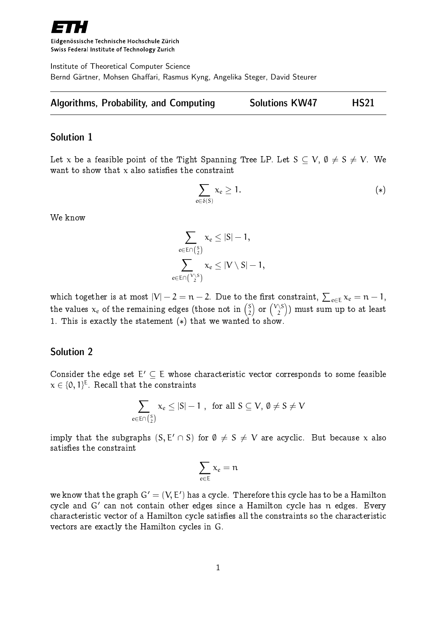

Eidgenössische Technische Hochschule Zürich Swiss Federal Institute of Technology Zurich

Institute of Theoretical Computer Science Bernd Gärtner, Mohsen Ghaffari, Rasmus Kyng, Angelika Steger, David Steurer

|  | <b>Algorithms, Probability, and Computing</b> | <b>Solutions KW47</b> | <b>HS21</b> |
|--|-----------------------------------------------|-----------------------|-------------|
|--|-----------------------------------------------|-----------------------|-------------|

### Solution 1

Let x be a feasible point of the Tight Spanning Tree LP. Let  $S \subseteq V$ ,  $\emptyset \neq S \neq V$ . We want to show that  $x$  also satisfies the constraint

$$
\sum_{e \in \delta(S)} x_e \ge 1. \tag{*}
$$

We know

$$
\sum_{e \in E \cap \binom{S}{2}} x_e \leq |S|-1,
$$
  

$$
\sum_{e \in E \cap \binom{V \setminus S}{2}} x_e \leq |V \setminus S|-1,
$$

which together is at most  $|V|-2=n-2.$  Due to the first constraint,  $\sum_{e\in E}\chi_e=n-1,$ the values  $x_e$  of the remaining edges (those not in  $\binom{S}{2}$  $\binom{S}{2}$  or  $\binom{V\setminus S}{2}$  $\binom{\setminus \mathsf{S}}{2}$ ) must sum up to at least 1. This is exactly the statement  $(*)$  that we wanted to show.

# Solution 2

Consider the edge set  $E' \subseteq E$  whose characteristic vector corresponds to some feasible  $\mathbf{x} \in \{0, 1\}^{\mathsf{E}}.$  Recall that the constraints

$$
\sum_{e\in \textsf{En}\left({S\atop 2}\right)}{x_e\leq |S|-1} \;,\;\text{ for all } S\subseteq V,\, \emptyset\neq S\neq V
$$

imply that the subgraphs  $(S, E' \cap S)$  for  $\emptyset \neq S \neq V$  are acyclic. But because x also satisfies the constraint

$$
\sum_{e\in E}\,x_e=n
$$

we know that the graph  $\mathsf{G}^\prime = (\mathsf{V}, \mathsf{E}^\prime)$  has a cycle. Therefore this cycle has to be a Hamilton cycle and  $\mathsf{G}^{\,\prime}$  can not contain other edges since a Hamilton cycle has  $\mathfrak n$  edges. Every characteristic vector of a Hamilton cycle satises all the constraints so the characteristic vectors are exactly the Hamilton cycles in G.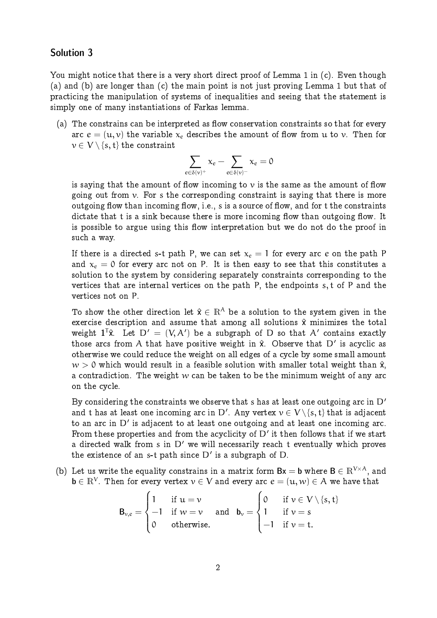# Solution 3

You might notice that there is a very short direct proof of Lemma 1 in (c). Even though (a) and (b) are longer than (c) the main point is not just proving Lemma 1 but that of practicing the manipulation of systems of inequalities and seeing that the statement is simply one of many instantiations of Farkas lemma.

 $(a)$  The constrains can be interpreted as flow conservation constraints so that for every arc  $e = (u, v)$  the variable  $x_e$  describes the amount of flow from u to v. Then for  $v \in V \setminus \{s, t\}$  the constraint

$$
\sum_{e\in\delta(\nu)^+}x_e-\sum_{e\in\delta(\nu)^-}x_e=0
$$

is saying that the amount of flow incoming to  $\nu$  is the same as the amount of flow going out from  $\nu$ . For s the corresponding constraint is saying that there is more outgoing flow than incoming flow, i.e., s is a source of flow, and for t the constraints dictate that t is a sink because there is more incoming flow than outgoing flow. It is possible to argue using this flow interpretation but we do not do the proof in such a way.

If there is a directed s-t path P, we can set  $x_e = 1$  for every arc e on the path P and  $x_e = 0$  for every arc not on P. It is then easy to see that this constitutes a solution to the system by considering separately constraints corresponding to the vertices that are internal vertices on the path P, the endpoints s, t of P and the vertices not on P.

To show the other direction let  $\hat{x} \in \mathbb{R}^{\mathcal{A}}$  be a solution to the system given in the exercise description and assume that among all solutions  $\hat{x}$  minimizes the total weight  $1^T\hat{x}$ . Let  $D' = (V, A')$  be a subgraph of D so that A' contains exactly those arcs from A that have positive weight in  $\hat{x}$ . Observe that D' is acyclic as otherwise we could reduce the weight on all edges of a cycle by some small amount  $w > 0$  which would result in a feasible solution with smaller total weight than  $\hat{x}$ , a contradiction. The weight  $w$  can be taken to be the minimum weight of any arc on the cycle.

By considering the constraints we observe that s has at least one outgoing arc in  $D'$ and t has at least one incoming arc in  $\mathsf{D}'$ . Any vertex  $\mathsf{v}\in \mathsf{V}\backslash \{\mathrm{s},\mathrm{t}\}$  that is adjacent to an arc in  $D'$  is adjacent to at least one outgoing and at least one incoming arc. From these properties and from the acyclicity of  $D'$  it then follows that if we start a directed walk from s in  $D'$  we will necessarily reach t eventually which proves the existence of an s-t path since  $D'$  is a subgraph of  $D$ .

(b) Let us write the equality constrains in a matrix form  $Bx = b$  where  $B \in \mathbb{R}^{V \times A}$ , and  $\mathbf{b}\in\mathbb{R}^V.$  Then for every vertex  $\mathbf{v}\in\mathsf{V}$  and every arc  $\pmb{e}=(\mathbf{u},\mathbf{w})\in\mathsf{A}$  we have that

$$
B_{\nu,e} = \begin{cases} 1 & \text{if } u = \nu \\ -1 & \text{if } \nu = \nu \\ 0 & \text{otherwise.} \end{cases} \quad \text{and} \quad b_{\nu} = \begin{cases} 0 & \text{if } \nu \in V \setminus \{s,t\} \\ 1 & \text{if } \nu = s \\ -1 & \text{if } \nu = t. \end{cases}
$$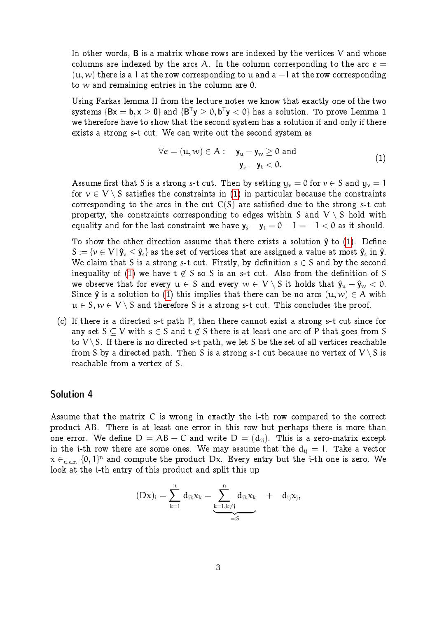In other words,  $B$  is a matrix whose rows are indexed by the vertices  $V$  and whose columns are indexed by the arcs A. In the column corresponding to the arc  $e =$  $(u, w)$  there is a 1 at the row corresponding to u and a  $-1$  at the row corresponding to  $w$  and remaining entries in the column are  $0$ .

Using Farkas lemma II from the lecture notes we know that exactly one of the two systems  $\{ {\sf Bx}={\sf b}, {\sf x}\geq {\sf 0}\}$  and  $\{ {\sf B}^{\sf T} {\sf y} \geq 0, {\sf b}^{\sf T} {\sf y}< 0\}$  has a solution. To prove Lemma 1 we therefore have to show that the second system has a solution if and only if there exists a strong s-t cut. We can write out the second system as

<span id="page-2-0"></span>
$$
\forall e = (u, w) \in A: \quad \mathbf{y}_u - \mathbf{y}_w \ge 0 \text{ and } \quad \mathbf{y}_s - \mathbf{y}_t < 0. \tag{1}
$$

Assume first that S is a strong s-t cut. Then by setting  $y_v = 0$  for  $v \in S$  and  $y_v = 1$ for  $v \in V \setminus S$  satisfies the constraints in [\(1\)](#page-2-0) in particular because the constraints corresponding to the arcs in the cut  $C(S)$  are satisfied due to the strong s-t cut property, the constraints corresponding to edges within S and  $V \setminus S$  hold with equality and for the last constraint we have  $y_s - y_t = 0 - 1 = -1 < 0$  as it should.

To show the other direction assume that there exists a solution  $\hat{y}$  to [\(1\)](#page-2-0). Define  $S := \{v \in V | \hat{y}_v \leq \hat{y}_s \}$  as the set of vertices that are assigned a value at most  $\hat{y}_s$  in  $\hat{y}$ . We claim that S is a strong s-t cut. Firstly, by definition  $s \in S$  and by the second inequality of [\(1\)](#page-2-0) we have  $t \notin S$  so S is an s-t cut. Also from the definition of S we observe that for every  $u \in S$  and every  $w \in V \setminus S$  it holds that  $\hat{y}_u - \hat{y}_w < 0$ . Since  $\hat{y}$  is a solution to [\(1\)](#page-2-0) this implies that there can be no arcs  $(u, w) \in A$  with  $u \in S, w \in V \setminus S$  and therefore S is a strong s-t cut. This concludes the proof.

(c) If there is a directed s-t path P, then there cannot exist a strong s-t cut since for any set  $S \subset V$  with  $s \in S$  and  $t \notin S$  there is at least one arc of P that goes from S to  $V \setminus S$ . If there is no directed s-t path, we let S be the set of all vertices reachable from S by a directed path. Then S is a strong s-t cut because no vertex of  $V \setminus S$  is reachable from a vertex of S.

### Solution 4

Assume that the matrix C is wrong in exactly the i-th row compared to the correct product AB. There is at least one error in this row but perhaps there is more than one error. We define  $D = AB - C$  and write  $D = (d_{ii})$ . This is a zero-matrix except in the i-th row there are some ones. We may assume that the  $d_{ij} = 1$ . Take a vector  $\mathbf{x} \in_{\mathtt{u.a.r.}} \{0, 1\}^{\text{n}}$  and compute the product  $\mathsf{D}\mathbf{x}$ . Every entry but the i-th one is zero. We look at the i-th entry of this product and split this up

$$
(Dx)_i=\sum_{k=1}^n\,d_{ik}x_k=\underbrace{\sum_{k=1,k\neq j}^n\,d_{ik}x_k\quad+\quad d_{ij}x_j,
$$